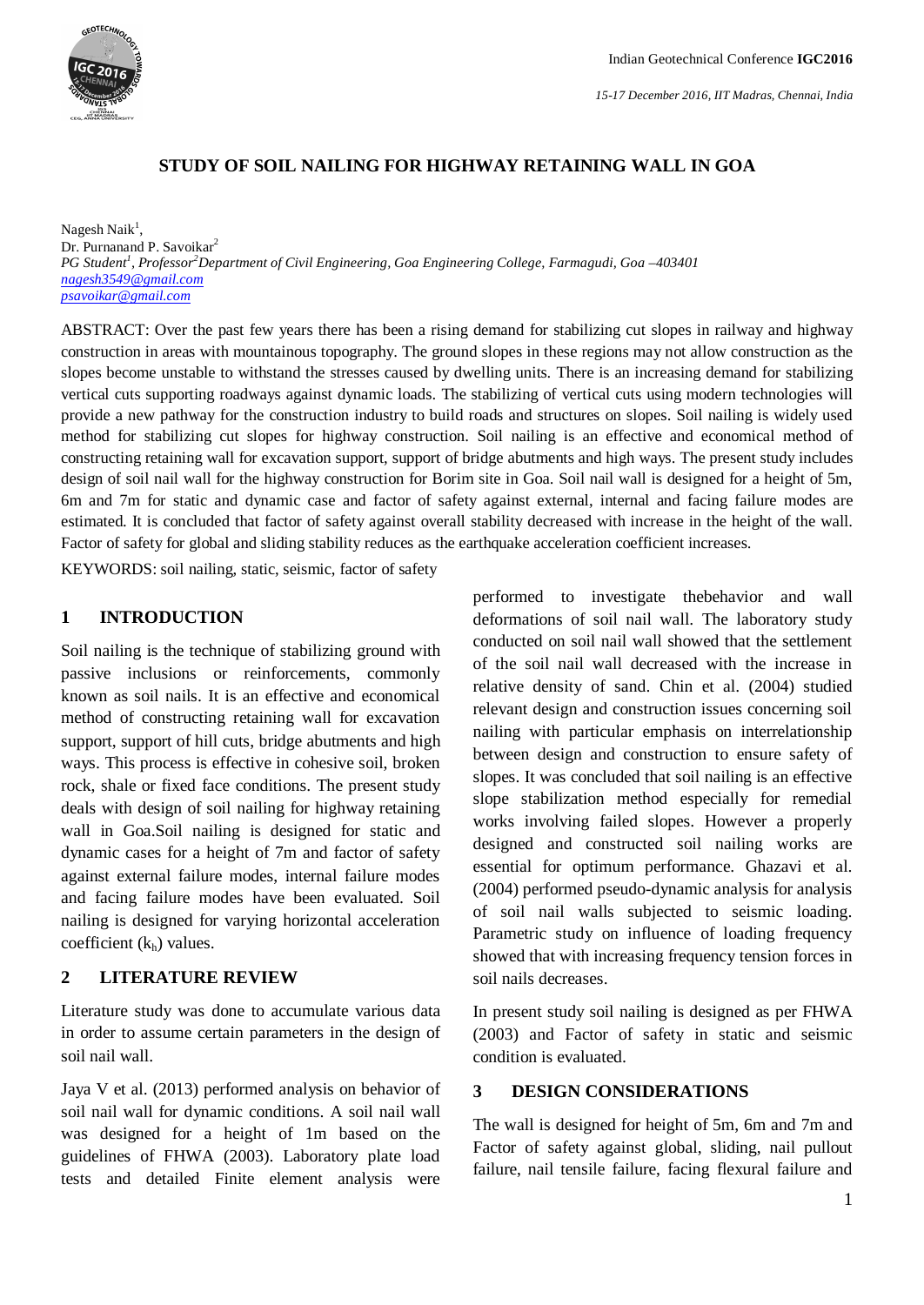

# **STUDY OF SOIL NAILING FOR HIGHWAY RETAINING WALL IN GOA**

Nagesh Naik<sup>1</sup>, Dr. Purnanand P. Savoikar<sup>2</sup> *PG Student<sup>1</sup> , Professor<sup>2</sup>Department of Civil Engineering, Goa Engineering College, Farmagudi, Goa –403401 nagesh3549@gmail.com psavoikar@gmail.com*

ABSTRACT: Over the past few years there has been a rising demand for stabilizing cut slopes in railway and highway construction in areas with mountainous topography. The ground slopes in these regions may not allow construction as the slopes become unstable to withstand the stresses caused by dwelling units. There is an increasing demand for stabilizing vertical cuts supporting roadways against dynamic loads. The stabilizing of vertical cuts using modern technologies will provide a new pathway for the construction industry to build roads and structures on slopes. Soil nailing is widely used method for stabilizing cut slopes for highway construction. Soil nailing is an effective and economical method of constructing retaining wall for excavation support, support of bridge abutments and high ways. The present study includes design of soil nail wall for the highway construction for Borim site in Goa. Soil nail wall is designed for a height of 5m, 6m and 7m for static and dynamic case and factor of safety against external, internal and facing failure modes are estimated. It is concluded that factor of safety against overall stability decreased with increase in the height of the wall. Factor of safety for global and sliding stability reduces as the earthquake acceleration coefficient increases.

KEYWORDS: soil nailing, static, seismic, factor of safety

#### **1 INTRODUCTION**

Soil nailing is the technique of stabilizing ground with passive inclusions or reinforcements, commonly known as soil nails. It is an effective and economical method of constructing retaining wall for excavation support, support of hill cuts, bridge abutments and high ways. This process is effective in cohesive soil, broken rock, shale or fixed face conditions. The present study deals with design of soil nailing for highway retaining wall in Goa.Soil nailing is designed for static and dynamic cases for a height of 7m and factor of safety against external failure modes, internal failure modes and facing failure modes have been evaluated. Soil nailing is designed for varying horizontal acceleration coefficient  $(k<sub>h</sub>)$  values.

#### **2 LITERATURE REVIEW**

Literature study was done to accumulate various data in order to assume certain parameters in the design of soil nail wall.

Jaya V et al. (2013) performed analysis on behavior of soil nail wall for dynamic conditions. A soil nail wall was designed for a height of 1m based on the guidelines of FHWA (2003). Laboratory plate load tests and detailed Finite element analysis were

performed to investigate thebehavior and wall deformations of soil nail wall. The laboratory study conducted on soil nail wall showed that the settlement of the soil nail wall decreased with the increase in relative density of sand. Chin et al. (2004) studied relevant design and construction issues concerning soil nailing with particular emphasis on interrelationship between design and construction to ensure safety of slopes. It was concluded that soil nailing is an effective slope stabilization method especially for remedial works involving failed slopes. However a properly designed and constructed soil nailing works are essential for optimum performance. Ghazavi et al. (2004) performed pseudo-dynamic analysis for analysis of soil nail walls subjected to seismic loading. Parametric study on influence of loading frequency showed that with increasing frequency tension forces in soil nails decreases.

In present study soil nailing is designed as per FHWA (2003) and Factor of safety in static and seismic condition is evaluated.

## **3 DESIGN CONSIDERATIONS**

The wall is designed for height of 5m, 6m and 7m and Factor of safety against global, sliding, nail pullout failure, nail tensile failure, facing flexural failure and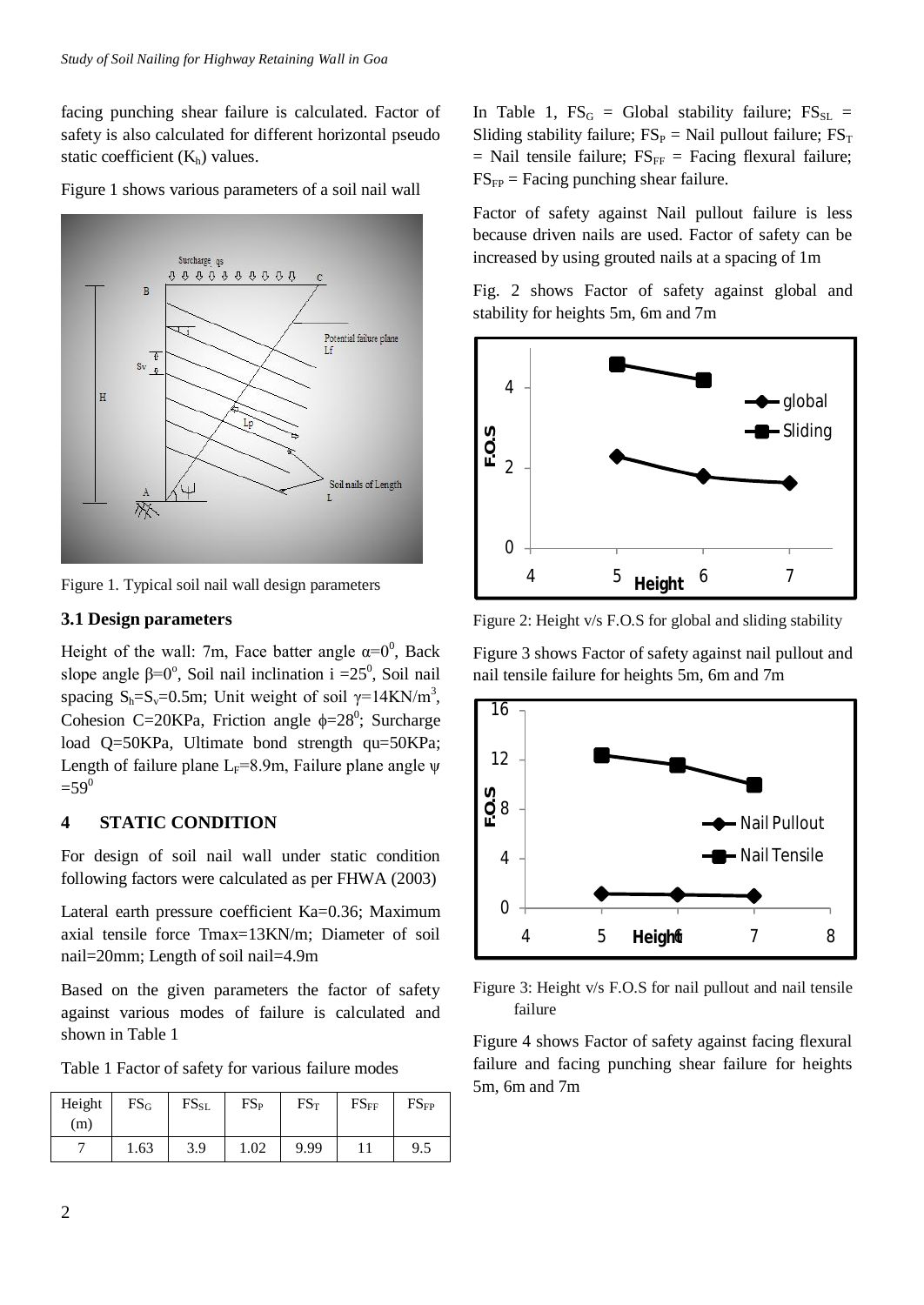facing punching shear failure is calculated. Factor of safety is also calculated for different horizontal pseudo static coefficient  $(K_h)$  values.



Figure 1 shows various parameters of a soil nail wall

Figure 1. Typical soil nail wall design parameters

# **3.1 Design parameters**

Height of the wall: 7m, Face batter angle  $\alpha=0^0$ , Back slope angle  $\beta = 0^\circ$ , Soil nail inclination i = 25<sup>0</sup>, Soil nail spacing  $S_h = S_v = 0.5m$ ; Unit weight of soil  $\gamma = 14KN/m^3$ , Cohesion C=20KPa, Friction angle  $\phi = 28^\circ$ ; Surcharge load Q=50KPa, Ultimate bond strength qu=50KPa; Length of failure plane L<sub>F</sub>=8.9m, Failure plane angle  $\psi$  $=59^0$ 

# **4 STATIC CONDITION**

For design of soil nail wall under static condition following factors were calculated as per FHWA (2003)

Lateral earth pressure coefficient Ka=0.36; Maximum axial tensile force Tmax=13KN/m; Diameter of soil nail=20mm; Length of soil nail=4.9m

Based on the given parameters the factor of safety against various modes of failure is calculated and shown in Table 1

Table 1 Factor of safety for various failure modes

| Height<br>(m) | $FS_G$ | $FS_{SL}$ | $FS_{P}$ | $FS_T$ | $FS_{FF}$ | $FS_{FP}$ |
|---------------|--------|-----------|----------|--------|-----------|-----------|
|               | 1.63   | 3.9       | 1.02     | 9.99   |           | 9.5       |

In Table 1,  $FS_G = Global$  stability failure;  $FS_{SL} =$ Sliding stability failure;  $FS_P =$  Nail pullout failure;  $FS_T$  $=$  Nail tensile failure;  $FS_{FF} =$  Facing flexural failure;  $FS_{FP}$  = Facing punching shear failure.

Factor of safety against Nail pullout failure is less because driven nails are used. Factor of safety can be increased by using grouted nails at a spacing of 1m

Fig. 2 shows Factor of safety against global and stability for heights 5m, 6m and 7m



Figure 2: Height v/s F.O.S for global and sliding stability

Figure 3 shows Factor of safety against nail pullout and nail tensile failure for heights 5m, 6m and 7m



Figure 3: Height v/s F.O.S for nail pullout and nail tensile failure

Figure 4 shows Factor of safety against facing flexural failure and facing punching shear failure for heights 5m, 6m and 7m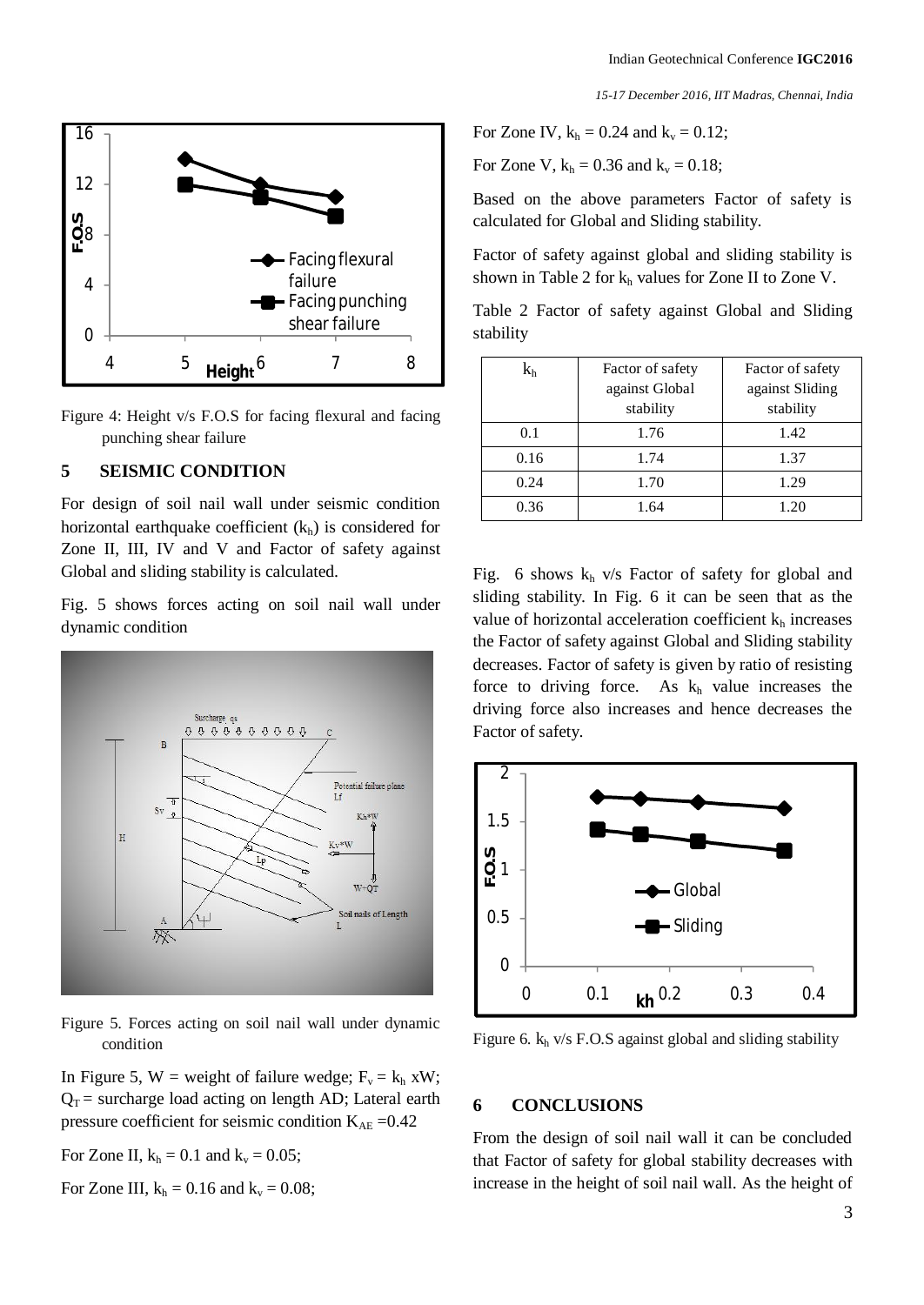*15-17 December 2016, IIT Madras, Chennai, India*



Figure 4: Height v/s F.O.S for facing flexural and facing punching shear failure

#### **5 SEISMIC CONDITION**

For design of soil nail wall under seismic condition horizontal earthquake coefficient  $(k<sub>h</sub>)$  is considered for Zone II, III, IV and V and Factor of safety against Global and sliding stability is calculated.

Fig. 5 shows forces acting on soil nail wall under dynamic condition



Figure 5. Forces acting on soil nail wall under dynamic condition

In Figure 5, W = weight of failure wedge;  $F_v = k_h xW$ ;  $Q_T$  = surcharge load acting on length AD; Lateral earth pressure coefficient for seismic condition  $K_{AE} = 0.42$ 

For Zone II,  $k_h = 0.1$  and  $k_v = 0.05$ ;

For Zone III, 
$$
k_h = 0.16
$$
 and  $k_v = 0.08$ ;

For Zone IV,  $k_h = 0.24$  and  $k_v = 0.12$ ;

For Zone V,  $k_h = 0.36$  and  $k_v = 0.18$ ;

Based on the above parameters Factor of safety is calculated for Global and Sliding stability.

Factor of safety against global and sliding stability is shown in Table 2 for  $k_h$  values for Zone II to Zone V.

Table 2 Factor of safety against Global and Sliding stability

| $\rm k_h$ | Factor of safety | Factor of safety |  |
|-----------|------------------|------------------|--|
|           | against Global   | against Sliding  |  |
|           | stability        | stability        |  |
| 0.1       | 1.76             | 1.42             |  |
| 0.16      | 1.74             | 1.37             |  |
| 0.24      | 1.70             | 1.29             |  |
| 0.36      | 1.64             | 1.20             |  |

Fig. 6 shows  $k_h$  v/s Factor of safety for global and sliding stability. In Fig. 6 it can be seen that as the value of horizontal acceleration coefficient  $k<sub>h</sub>$  increases the Factor of safety against Global and Sliding stability decreases. Factor of safety is given by ratio of resisting force to driving force. As  $k<sub>h</sub>$  value increases the driving force also increases and hence decreases the Factor of safety.



Figure 6.  $k_h$  v/s F.O.S against global and sliding stability

### **6 CONCLUSIONS**

From the design of soil nail wall it can be concluded that Factor of safety for global stability decreases with increase in the height of soil nail wall. As the height of